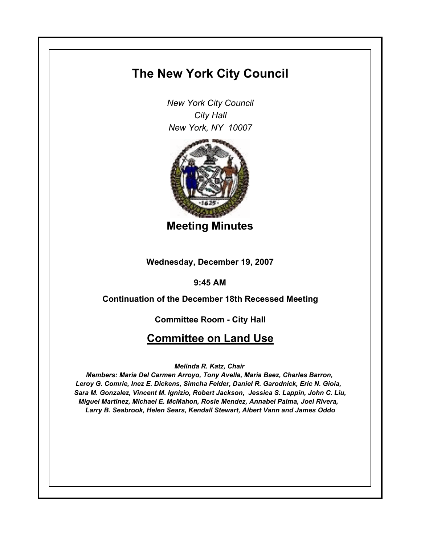# **The New York City Council**

*New York City Council City Hall New York, NY 10007*



**Meeting Minutes**

**Wednesday, December 19, 2007**

**9:45 AM**

**Continuation of the December 18th Recessed Meeting**

**Committee Room - City Hall**

# **Committee on Land Use**

*Melinda R. Katz, Chair* 

*Members: Maria Del Carmen Arroyo, Tony Avella, Maria Baez, Charles Barron, Leroy G. Comrie, Inez E. Dickens, Simcha Felder, Daniel R. Garodnick, Eric N. Gioia, Sara M. Gonzalez, Vincent M. Ignizio, Robert Jackson, Jessica S. Lappin, John C. Liu, Miguel Martinez, Michael E. McMahon, Rosie Mendez, Annabel Palma, Joel Rivera, Larry B. Seabrook, Helen Sears, Kendall Stewart, Albert Vann and James Oddo*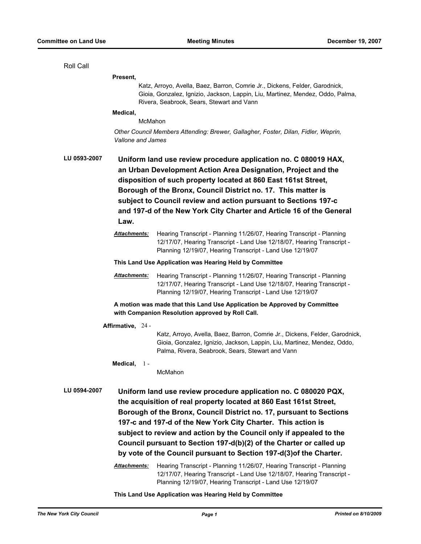Roll Call

**Present,**

Katz, Arroyo, Avella, Baez, Barron, Comrie Jr., Dickens, Felder, Garodnick, Gioia, Gonzalez, Ignizio, Jackson, Lappin, Liu, Martinez, Mendez, Oddo, Palma, Rivera, Seabrook, Sears, Stewart and Vann

# **Medical,**

McMahon

*Other Council Members Attending: Brewer, Gallagher, Foster, Dilan, Fidler, Weprin, Vallone and James*

**LU 0593-2007 Uniform land use review procedure application no. C 080019 HAX, an Urban Development Action Area Designation, Project and the disposition of such property located at 860 East 161st Street, Borough of the Bronx, Council District no. 17. This matter is subject to Council review and action pursuant to Sections 197-c and 197-d of the New York City Charter and Article 16 of the General Law.**

> *Attachments:* Hearing Transcript - Planning 11/26/07, Hearing Transcript - Planning 12/17/07, Hearing Transcript - Land Use 12/18/07, Hearing Transcript - Planning 12/19/07, Hearing Transcript - Land Use 12/19/07

#### **This Land Use Application was Hearing Held by Committee**

*Attachments:* Hearing Transcript - Planning 11/26/07, Hearing Transcript - Planning 12/17/07, Hearing Transcript - Land Use 12/18/07, Hearing Transcript - Planning 12/19/07, Hearing Transcript - Land Use 12/19/07

**A motion was made that this Land Use Application be Approved by Committee with Companion Resolution approved by Roll Call.**

**Affirmative,** 24 -

Katz, Arroyo, Avella, Baez, Barron, Comrie Jr., Dickens, Felder, Garodnick, Gioia, Gonzalez, Ignizio, Jackson, Lappin, Liu, Martinez, Mendez, Oddo, Palma, Rivera, Seabrook, Sears, Stewart and Vann

**Medical,** 1 -

McMahon

**LU 0594-2007 Uniform land use review procedure application no. C 080020 PQX, the acquisition of real property located at 860 East 161st Street, Borough of the Bronx, Council District no. 17, pursuant to Sections 197-c and 197-d of the New York City Charter. This action is subject to review and action by the Council only if appealed to the Council pursuant to Section 197-d(b)(2) of the Charter or called up by vote of the Council pursuant to Section 197-d(3)of the Charter.**

> *Attachments:* Hearing Transcript - Planning 11/26/07, Hearing Transcript - Planning 12/17/07, Hearing Transcript - Land Use 12/18/07, Hearing Transcript - Planning 12/19/07, Hearing Transcript - Land Use 12/19/07

**This Land Use Application was Hearing Held by Committee**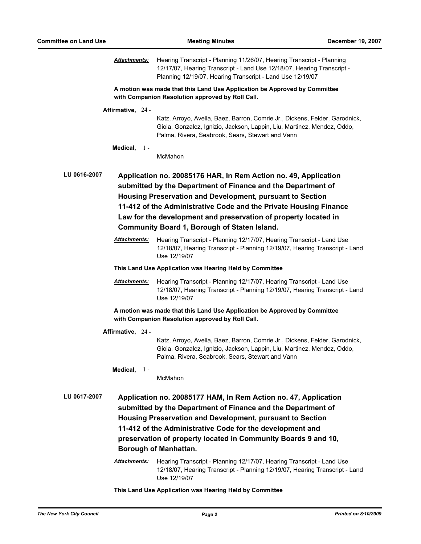*Attachments:* Hearing Transcript - Planning 11/26/07, Hearing Transcript - Planning 12/17/07, Hearing Transcript - Land Use 12/18/07, Hearing Transcript - Planning 12/19/07, Hearing Transcript - Land Use 12/19/07

**A motion was made that this Land Use Application be Approved by Committee with Companion Resolution approved by Roll Call.**

#### **Affirmative,** 24 -

Katz, Arroyo, Avella, Baez, Barron, Comrie Jr., Dickens, Felder, Garodnick, Gioia, Gonzalez, Ignizio, Jackson, Lappin, Liu, Martinez, Mendez, Oddo, Palma, Rivera, Seabrook, Sears, Stewart and Vann

# **Medical,** 1 -

McMahon

**LU 0616-2007 Application no. 20085176 HAR, In Rem Action no. 49, Application submitted by the Department of Finance and the Department of Housing Preservation and Development, pursuant to Section 11-412 of the Administrative Code and the Private Housing Finance Law for the development and preservation of property located in Community Board 1, Borough of Staten Island.**

> *Attachments:* Hearing Transcript - Planning 12/17/07, Hearing Transcript - Land Use 12/18/07, Hearing Transcript - Planning 12/19/07, Hearing Transcript - Land Use 12/19/07

**This Land Use Application was Hearing Held by Committee**

*Attachments:* Hearing Transcript - Planning 12/17/07, Hearing Transcript - Land Use 12/18/07, Hearing Transcript - Planning 12/19/07, Hearing Transcript - Land Use 12/19/07

**A motion was made that this Land Use Application be Approved by Committee with Companion Resolution approved by Roll Call.**

**Affirmative,** 24 -

Katz, Arroyo, Avella, Baez, Barron, Comrie Jr., Dickens, Felder, Garodnick, Gioia, Gonzalez, Ignizio, Jackson, Lappin, Liu, Martinez, Mendez, Oddo, Palma, Rivera, Seabrook, Sears, Stewart and Vann

# **Medical,** 1 -

McMahon

- **LU 0617-2007 Application no. 20085177 HAM, In Rem Action no. 47, Application submitted by the Department of Finance and the Department of Housing Preservation and Development, pursuant to Section 11-412 of the Administrative Code for the development and preservation of property located in Community Boards 9 and 10, Borough of Manhattan.**
	- *Attachments:* Hearing Transcript Planning 12/17/07, Hearing Transcript Land Use 12/18/07, Hearing Transcript - Planning 12/19/07, Hearing Transcript - Land Use 12/19/07

**This Land Use Application was Hearing Held by Committee**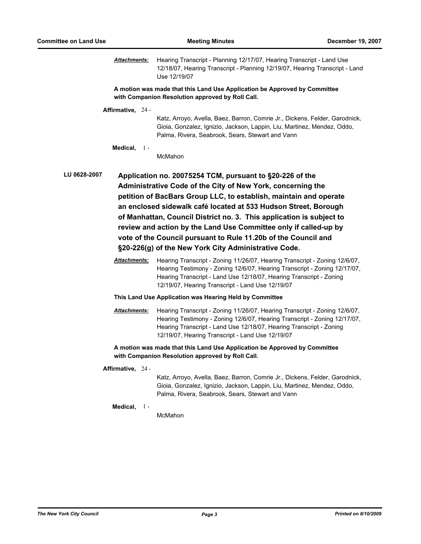*Attachments:* Hearing Transcript - Planning 12/17/07, Hearing Transcript - Land Use 12/18/07, Hearing Transcript - Planning 12/19/07, Hearing Transcript - Land Use 12/19/07

**A motion was made that this Land Use Application be Approved by Committee with Companion Resolution approved by Roll Call.**

#### **Affirmative,** 24 -

Katz, Arroyo, Avella, Baez, Barron, Comrie Jr., Dickens, Felder, Garodnick, Gioia, Gonzalez, Ignizio, Jackson, Lappin, Liu, Martinez, Mendez, Oddo, Palma, Rivera, Seabrook, Sears, Stewart and Vann

# **Medical,** 1 -

McMahon

**LU 0628-2007 Application no. 20075254 TCM, pursuant to §20-226 of the Administrative Code of the City of New York, concerning the petition of BacBars Group LLC, to establish, maintain and operate an enclosed sidewalk café located at 533 Hudson Street, Borough of Manhattan, Council District no. 3. This application is subject to review and action by the Land Use Committee only if called-up by vote of the Council pursuant to Rule 11.20b of the Council and §20-226(g) of the New York City Administrative Code.**

> *Attachments:* Hearing Transcript - Zoning 11/26/07, Hearing Transcript - Zoning 12/6/07, Hearing Testimony - Zoning 12/6/07, Hearing Transcript - Zoning 12/17/07, Hearing Transcript - Land Use 12/18/07, Hearing Transcript - Zoning 12/19/07, Hearing Transcript - Land Use 12/19/07

# **This Land Use Application was Hearing Held by Committee**

*Attachments:* Hearing Transcript - Zoning 11/26/07, Hearing Transcript - Zoning 12/6/07, Hearing Testimony - Zoning 12/6/07, Hearing Transcript - Zoning 12/17/07, Hearing Transcript - Land Use 12/18/07, Hearing Transcript - Zoning 12/19/07, Hearing Transcript - Land Use 12/19/07

# **A motion was made that this Land Use Application be Approved by Committee with Companion Resolution approved by Roll Call.**

### **Affirmative,** 24 -

Katz, Arroyo, Avella, Baez, Barron, Comrie Jr., Dickens, Felder, Garodnick, Gioia, Gonzalez, Ignizio, Jackson, Lappin, Liu, Martinez, Mendez, Oddo, Palma, Rivera, Seabrook, Sears, Stewart and Vann

#### **Medical,** 1 -

McMahon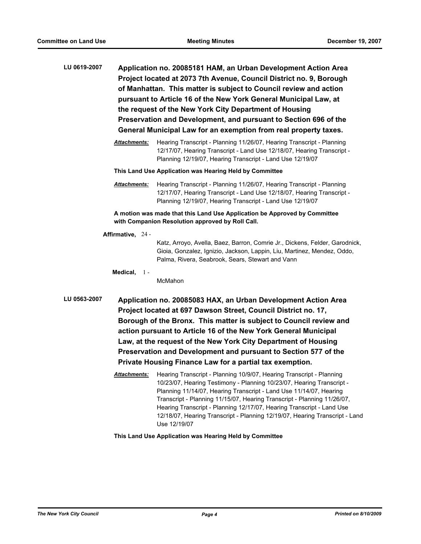- **LU 0619-2007 Application no. 20085181 HAM, an Urban Development Action Area Project located at 2073 7th Avenue, Council District no. 9, Borough of Manhattan. This matter is subject to Council review and action pursuant to Article 16 of the New York General Municipal Law, at the request of the New York City Department of Housing Preservation and Development, and pursuant to Section 696 of the General Municipal Law for an exemption from real property taxes.**
	- *Attachments:* Hearing Transcript Planning 11/26/07, Hearing Transcript Planning 12/17/07, Hearing Transcript - Land Use 12/18/07, Hearing Transcript - Planning 12/19/07, Hearing Transcript - Land Use 12/19/07
	- **This Land Use Application was Hearing Held by Committee**
	- *Attachments:* Hearing Transcript Planning 11/26/07, Hearing Transcript Planning 12/17/07, Hearing Transcript - Land Use 12/18/07, Hearing Transcript - Planning 12/19/07, Hearing Transcript - Land Use 12/19/07

**A motion was made that this Land Use Application be Approved by Committee with Companion Resolution approved by Roll Call.**

**Affirmative,** 24 -

Katz, Arroyo, Avella, Baez, Barron, Comrie Jr., Dickens, Felder, Garodnick, Gioia, Gonzalez, Ignizio, Jackson, Lappin, Liu, Martinez, Mendez, Oddo, Palma, Rivera, Seabrook, Sears, Stewart and Vann

**Medical,** 1 -

McMahon

- **LU 0563-2007 Application no. 20085083 HAX, an Urban Development Action Area Project located at 697 Dawson Street, Council District no. 17, Borough of the Bronx. This matter is subject to Council review and action pursuant to Article 16 of the New York General Municipal Law, at the request of the New York City Department of Housing Preservation and Development and pursuant to Section 577 of the Private Housing Finance Law for a partial tax exemption.**
	- *Attachments:* Hearing Transcript Planning 10/9/07, Hearing Transcript Planning 10/23/07, Hearing Testimony - Planning 10/23/07, Hearing Transcript - Planning 11/14/07, Hearing Transcript - Land Use 11/14/07, Hearing Transcript - Planning 11/15/07, Hearing Transcript - Planning 11/26/07, Hearing Transcript - Planning 12/17/07, Hearing Transcript - Land Use 12/18/07, Hearing Transcript - Planning 12/19/07, Hearing Transcript - Land Use 12/19/07

**This Land Use Application was Hearing Held by Committee**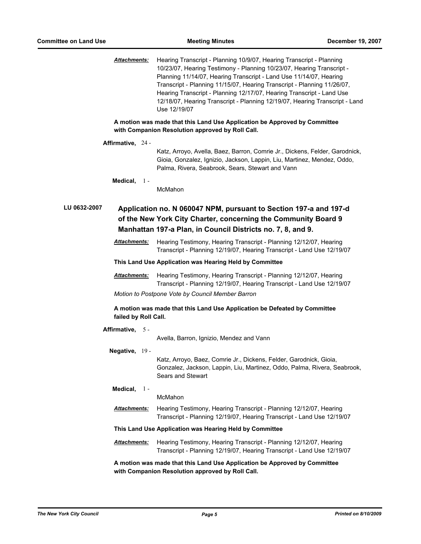*Attachments:* Hearing Transcript - Planning 10/9/07, Hearing Transcript - Planning 10/23/07, Hearing Testimony - Planning 10/23/07, Hearing Transcript - Planning 11/14/07, Hearing Transcript - Land Use 11/14/07, Hearing Transcript - Planning 11/15/07, Hearing Transcript - Planning 11/26/07, Hearing Transcript - Planning 12/17/07, Hearing Transcript - Land Use 12/18/07, Hearing Transcript - Planning 12/19/07, Hearing Transcript - Land Use 12/19/07

**A motion was made that this Land Use Application be Approved by Committee with Companion Resolution approved by Roll Call.**

| Affirmative. | $24 -$ |
|--------------|--------|
|              |        |

Katz, Arroyo, Avella, Baez, Barron, Comrie Jr., Dickens, Felder, Garodnick, Gioia, Gonzalez, Ignizio, Jackson, Lappin, Liu, Martinez, Mendez, Oddo, Palma, Rivera, Seabrook, Sears, Stewart and Vann

```
Medical,
1 -
```
McMahon

**LU 0632-2007 Application no. N 060047 NPM, pursuant to Section 197-a and 197-d of the New York City Charter, concerning the Community Board 9 Manhattan 197-a Plan, in Council Districts no. 7, 8, and 9.**

> *Attachments:* Hearing Testimony, Hearing Transcript - Planning 12/12/07, Hearing Transcript - Planning 12/19/07, Hearing Transcript - Land Use 12/19/07

#### **This Land Use Application was Hearing Held by Committee**

*Attachments:* Hearing Testimony, Hearing Transcript - Planning 12/12/07, Hearing Transcript - Planning 12/19/07, Hearing Transcript - Land Use 12/19/07

*Motion to Postpone Vote by Council Member Barron*

**A motion was made that this Land Use Application be Defeated by Committee failed by Roll Call.**

| Affirmative, 5 -                                        |  |                                                                                                                                                                     |  |  |
|---------------------------------------------------------|--|---------------------------------------------------------------------------------------------------------------------------------------------------------------------|--|--|
|                                                         |  | Avella, Barron, Ignizio, Mendez and Vann                                                                                                                            |  |  |
| Negative, $19 -$                                        |  |                                                                                                                                                                     |  |  |
|                                                         |  | Katz, Arroyo, Baez, Comrie Jr., Dickens, Felder, Garodnick, Gioia,<br>Gonzalez, Jackson, Lappin, Liu, Martinez, Oddo, Palma, Rivera, Seabrook,<br>Sears and Stewart |  |  |
| Medical, $1 -$                                          |  |                                                                                                                                                                     |  |  |
|                                                         |  | McMahon                                                                                                                                                             |  |  |
| <b>Attachments:</b>                                     |  | Hearing Testimony, Hearing Transcript - Planning 12/12/07, Hearing<br>Transcript - Planning 12/19/07, Hearing Transcript - Land Use 12/19/07                        |  |  |
| This Land Use Application was Hearing Held by Committee |  |                                                                                                                                                                     |  |  |
| <b>Attachments:</b>                                     |  | Hearing Testimony, Hearing Transcript - Planning 12/12/07, Hearing<br>Transcript - Planning 12/19/07, Hearing Transcript - Land Use 12/19/07                        |  |  |

**A motion was made that this Land Use Application be Approved by Committee with Companion Resolution approved by Roll Call.**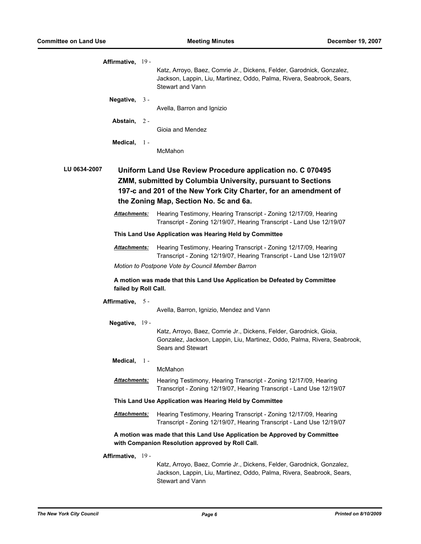| Affirmative, 19 -                                                                                                                                                                                                                                      | Katz, Arroyo, Baez, Comrie Jr., Dickens, Felder, Garodnick, Gonzalez,<br>Jackson, Lappin, Liu, Martinez, Oddo, Palma, Rivera, Seabrook, Sears,<br>Stewart and Vann  |  |  |  |
|--------------------------------------------------------------------------------------------------------------------------------------------------------------------------------------------------------------------------------------------------------|---------------------------------------------------------------------------------------------------------------------------------------------------------------------|--|--|--|
| Negative, $3 -$                                                                                                                                                                                                                                        | Avella, Barron and Ignizio                                                                                                                                          |  |  |  |
| Abstain, 2-                                                                                                                                                                                                                                            | Gioia and Mendez                                                                                                                                                    |  |  |  |
| Medical,<br>$\mathbf{1}$                                                                                                                                                                                                                               | McMahon                                                                                                                                                             |  |  |  |
| LU 0634-2007<br>Uniform Land Use Review Procedure application no. C 070495<br>ZMM, submitted by Columbia University, pursuant to Sections<br>197-c and 201 of the New York City Charter, for an amendment of<br>the Zoning Map, Section No. 5c and 6a. |                                                                                                                                                                     |  |  |  |
| <b>Attachments:</b>                                                                                                                                                                                                                                    | Hearing Testimony, Hearing Transcript - Zoning 12/17/09, Hearing<br>Transcript - Zoning 12/19/07, Hearing Transcript - Land Use 12/19/07                            |  |  |  |
| This Land Use Application was Hearing Held by Committee                                                                                                                                                                                                |                                                                                                                                                                     |  |  |  |
| <b>Attachments:</b>                                                                                                                                                                                                                                    | Hearing Testimony, Hearing Transcript - Zoning 12/17/09, Hearing<br>Transcript - Zoning 12/19/07, Hearing Transcript - Land Use 12/19/07                            |  |  |  |
|                                                                                                                                                                                                                                                        | Motion to Postpone Vote by Council Member Barron                                                                                                                    |  |  |  |
| failed by Roll Call.                                                                                                                                                                                                                                   | A motion was made that this Land Use Application be Defeated by Committee                                                                                           |  |  |  |
| Affirmative, 5-                                                                                                                                                                                                                                        |                                                                                                                                                                     |  |  |  |
|                                                                                                                                                                                                                                                        | Avella, Barron, Ignizio, Mendez and Vann                                                                                                                            |  |  |  |
| Negative, 19 -                                                                                                                                                                                                                                         | Katz, Arroyo, Baez, Comrie Jr., Dickens, Felder, Garodnick, Gioia,<br>Gonzalez, Jackson, Lappin, Liu, Martinez, Oddo, Palma, Rivera, Seabrook,<br>Sears and Stewart |  |  |  |
| Medical,<br>$\mathbf{1}$ -                                                                                                                                                                                                                             |                                                                                                                                                                     |  |  |  |
|                                                                                                                                                                                                                                                        | McMahon                                                                                                                                                             |  |  |  |
| <b>Attachments:</b>                                                                                                                                                                                                                                    | Hearing Testimony, Hearing Transcript - Zoning 12/17/09, Hearing<br>Transcript - Zoning 12/19/07, Hearing Transcript - Land Use 12/19/07                            |  |  |  |
| This Land Use Application was Hearing Held by Committee                                                                                                                                                                                                |                                                                                                                                                                     |  |  |  |
| <b>Attachments:</b>                                                                                                                                                                                                                                    | Hearing Testimony, Hearing Transcript - Zoning 12/17/09, Hearing<br>Transcript - Zoning 12/19/07, Hearing Transcript - Land Use 12/19/07                            |  |  |  |
|                                                                                                                                                                                                                                                        | A motion was made that this Land Use Application be Approved by Committee<br>with Companion Resolution approved by Roll Call.                                       |  |  |  |
| Affirmative, 19 -                                                                                                                                                                                                                                      |                                                                                                                                                                     |  |  |  |
|                                                                                                                                                                                                                                                        | Katz, Arroyo, Baez, Comrie Jr., Dickens, Felder, Garodnick, Gonzalez,<br>Jackson, Lappin, Liu, Martinez, Oddo, Palma, Rivera, Seabrook, Sears,                      |  |  |  |

Stewart and Vann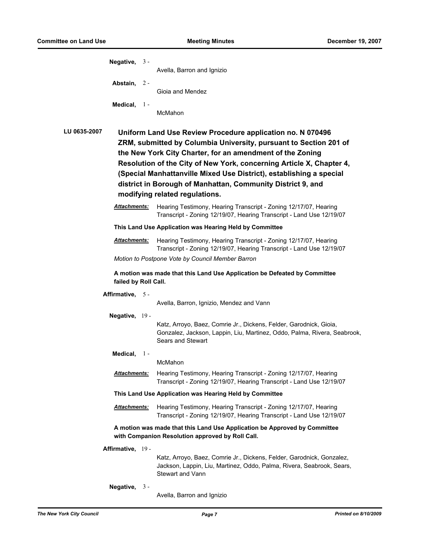| Negative, $3 -$                                                                                                                                                                                                                                                                                                                                                                                                                                                     |                      | Avella, Barron and Ignizio                                                                                                                                                |  |  |
|---------------------------------------------------------------------------------------------------------------------------------------------------------------------------------------------------------------------------------------------------------------------------------------------------------------------------------------------------------------------------------------------------------------------------------------------------------------------|----------------------|---------------------------------------------------------------------------------------------------------------------------------------------------------------------------|--|--|
|                                                                                                                                                                                                                                                                                                                                                                                                                                                                     | Abstain, 2-          |                                                                                                                                                                           |  |  |
|                                                                                                                                                                                                                                                                                                                                                                                                                                                                     |                      | Gioia and Mendez                                                                                                                                                          |  |  |
|                                                                                                                                                                                                                                                                                                                                                                                                                                                                     | Medical, $1 -$       | McMahon                                                                                                                                                                   |  |  |
| <b>LU 0635-2007</b><br>Uniform Land Use Review Procedure application no. N 070496<br>ZRM, submitted by Columbia University, pursuant to Section 201 of<br>the New York City Charter, for an amendment of the Zoning<br>Resolution of the City of New York, concerning Article X, Chapter 4,<br>(Special Manhattanville Mixed Use District), establishing a special<br>district in Borough of Manhattan, Community District 9, and<br>modifying related regulations. |                      |                                                                                                                                                                           |  |  |
|                                                                                                                                                                                                                                                                                                                                                                                                                                                                     | <b>Attachments:</b>  | Hearing Testimony, Hearing Transcript - Zoning 12/17/07, Hearing<br>Transcript - Zoning 12/19/07, Hearing Transcript - Land Use 12/19/07                                  |  |  |
| This Land Use Application was Hearing Held by Committee                                                                                                                                                                                                                                                                                                                                                                                                             |                      |                                                                                                                                                                           |  |  |
|                                                                                                                                                                                                                                                                                                                                                                                                                                                                     | <b>Attachments:</b>  | Hearing Testimony, Hearing Transcript - Zoning 12/17/07, Hearing<br>Transcript - Zoning 12/19/07, Hearing Transcript - Land Use 12/19/07                                  |  |  |
|                                                                                                                                                                                                                                                                                                                                                                                                                                                                     |                      | Motion to Postpone Vote by Council Member Barron                                                                                                                          |  |  |
| A motion was made that this Land Use Application be Defeated by Committee<br>failed by Roll Call.                                                                                                                                                                                                                                                                                                                                                                   |                      |                                                                                                                                                                           |  |  |
| Affirmative, 5-                                                                                                                                                                                                                                                                                                                                                                                                                                                     |                      | Avella, Barron, Ignizio, Mendez and Vann                                                                                                                                  |  |  |
| Negative, 19 -                                                                                                                                                                                                                                                                                                                                                                                                                                                      |                      | Katz, Arroyo, Baez, Comrie Jr., Dickens, Felder, Garodnick, Gioia,<br>Gonzalez, Jackson, Lappin, Liu, Martinez, Oddo, Palma, Rivera, Seabrook,<br>Sears and Stewart       |  |  |
|                                                                                                                                                                                                                                                                                                                                                                                                                                                                     | Medical, $1 -$       |                                                                                                                                                                           |  |  |
|                                                                                                                                                                                                                                                                                                                                                                                                                                                                     |                      | McMahon                                                                                                                                                                   |  |  |
|                                                                                                                                                                                                                                                                                                                                                                                                                                                                     | <b>Attachments:</b>  | Hearing Testimony, Hearing Transcript - Zoning 12/17/07, Hearing<br>Transcript - Zoning 12/19/07, Hearing Transcript - Land Use 12/19/07                                  |  |  |
| This Land Use Application was Hearing Held by Committee                                                                                                                                                                                                                                                                                                                                                                                                             |                      |                                                                                                                                                                           |  |  |
|                                                                                                                                                                                                                                                                                                                                                                                                                                                                     | <u> Attachments:</u> | Hearing Testimony, Hearing Transcript - Zoning 12/17/07, Hearing<br>Transcript - Zoning 12/19/07, Hearing Transcript - Land Use 12/19/07                                  |  |  |
|                                                                                                                                                                                                                                                                                                                                                                                                                                                                     |                      | A motion was made that this Land Use Application be Approved by Committee<br>with Companion Resolution approved by Roll Call.                                             |  |  |
| Affirmative, 19 -                                                                                                                                                                                                                                                                                                                                                                                                                                                   |                      |                                                                                                                                                                           |  |  |
|                                                                                                                                                                                                                                                                                                                                                                                                                                                                     |                      | Katz, Arroyo, Baez, Comrie Jr., Dickens, Felder, Garodnick, Gonzalez,<br>Jackson, Lappin, Liu, Martinez, Oddo, Palma, Rivera, Seabrook, Sears,<br><b>Stewart and Vann</b> |  |  |
| Negative, $3 -$                                                                                                                                                                                                                                                                                                                                                                                                                                                     |                      |                                                                                                                                                                           |  |  |

Avella, Barron and Ignizio